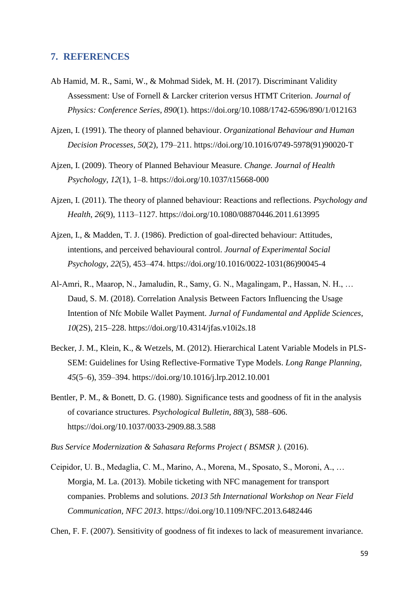## **7. REFERENCES**

- Ab Hamid, M. R., Sami, W., & Mohmad Sidek, M. H. (2017). Discriminant Validity Assessment: Use of Fornell & Larcker criterion versus HTMT Criterion. *Journal of Physics: Conference Series*, *890*(1). https://doi.org/10.1088/1742-6596/890/1/012163
- Ajzen, I. (1991). The theory of planned behaviour. *Organizational Behaviour and Human Decision Processes*, *50*(2), 179–211. https://doi.org/10.1016/0749-5978(91)90020-T
- Ajzen, I. (2009). Theory of Planned Behaviour Measure. *Change. Journal of Health Psychology*, *12*(1), 1–8. https://doi.org/10.1037/t15668-000
- Ajzen, I. (2011). The theory of planned behaviour: Reactions and reflections. *Psychology and Health*, *26*(9), 1113–1127. https://doi.org/10.1080/08870446.2011.613995
- Ajzen, I., & Madden, T. J. (1986). Prediction of goal-directed behaviour: Attitudes, intentions, and perceived behavioural control. *Journal of Experimental Social Psychology*, *22*(5), 453–474. https://doi.org/10.1016/0022-1031(86)90045-4
- Al-Amri, R., Maarop, N., Jamaludin, R., Samy, G. N., Magalingam, P., Hassan, N. H., … Daud, S. M. (2018). Correlation Analysis Between Factors Influencing the Usage Intention of Nfc Mobile Wallet Payment. *Jurnal of Fundamental and Applide Sciences*, *10*(2S), 215–228. https://doi.org/10.4314/jfas.v10i2s.18
- Becker, J. M., Klein, K., & Wetzels, M. (2012). Hierarchical Latent Variable Models in PLS-SEM: Guidelines for Using Reflective-Formative Type Models. *Long Range Planning*, *45*(5–6), 359–394. https://doi.org/10.1016/j.lrp.2012.10.001
- Bentler, P. M., & Bonett, D. G. (1980). Significance tests and goodness of fit in the analysis of covariance structures. *Psychological Bulletin*, *88*(3), 588–606. https://doi.org/10.1037/0033-2909.88.3.588
- *Bus Service Modernization & Sahasara Reforms Project ( BSMSR )*. (2016).
- Ceipidor, U. B., Medaglia, C. M., Marino, A., Morena, M., Sposato, S., Moroni, A., … Morgia, M. La. (2013). Mobile ticketing with NFC management for transport companies. Problems and solutions. *2013 5th International Workshop on Near Field Communication, NFC 2013*. https://doi.org/10.1109/NFC.2013.6482446

Chen, F. F. (2007). Sensitivity of goodness of fit indexes to lack of measurement invariance.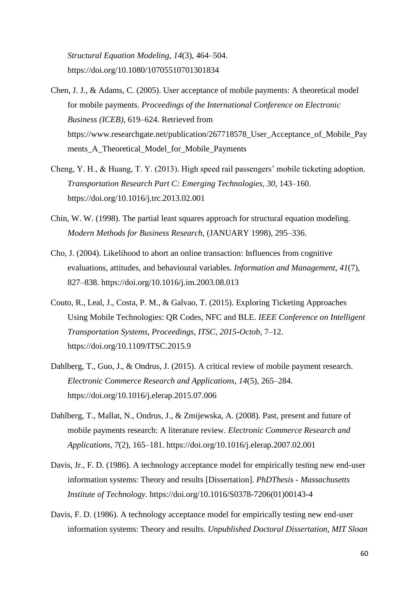*Structural Equation Modeling*, *14*(3), 464–504. https://doi.org/10.1080/10705510701301834

- Chen, J. J., & Adams, C. (2005). User acceptance of mobile payments: A theoretical model for mobile payments. *Proceedings of the International Conference on Electronic Business (ICEB)*, 619–624. Retrieved from https://www.researchgate.net/publication/267718578\_User\_Acceptance\_of\_Mobile\_Pay ments\_A\_Theoretical\_Model\_for\_Mobile\_Payments
- Cheng, Y. H., & Huang, T. Y. (2013). High speed rail passengers' mobile ticketing adoption. *Transportation Research Part C: Emerging Technologies*, *30*, 143–160. https://doi.org/10.1016/j.trc.2013.02.001
- Chin, W. W. (1998). The partial least squares approach for structural equation modeling. *Modern Methods for Business Research*, (JANUARY 1998), 295–336.
- Cho, J. (2004). Likelihood to abort an online transaction: Influences from cognitive evaluations, attitudes, and behavioural variables. *Information and Management*, *41*(7), 827–838. https://doi.org/10.1016/j.im.2003.08.013
- Couto, R., Leal, J., Costa, P. M., & Galvao, T. (2015). Exploring Ticketing Approaches Using Mobile Technologies: QR Codes, NFC and BLE. *IEEE Conference on Intelligent Transportation Systems, Proceedings, ITSC*, *2015*-*Octob*, 7–12. https://doi.org/10.1109/ITSC.2015.9
- Dahlberg, T., Guo, J., & Ondrus, J. (2015). A critical review of mobile payment research. *Electronic Commerce Research and Applications*, *14*(5), 265–284. https://doi.org/10.1016/j.elerap.2015.07.006
- Dahlberg, T., Mallat, N., Ondrus, J., & Zmijewska, A. (2008). Past, present and future of mobile payments research: A literature review. *Electronic Commerce Research and Applications*, *7*(2), 165–181. https://doi.org/10.1016/j.elerap.2007.02.001
- Davis, Jr., F. D. (1986). A technology acceptance model for empirically testing new end-user information systems: Theory and results [Dissertation]. *PhDThesis - Massachusetts Institute of Technology*. https://doi.org/10.1016/S0378-7206(01)00143-4
- Davis, F. D. (1986). A technology acceptance model for empirically testing new end-user information systems: Theory and results. *Unpublished Doctoral Dissertation, MIT Sloan*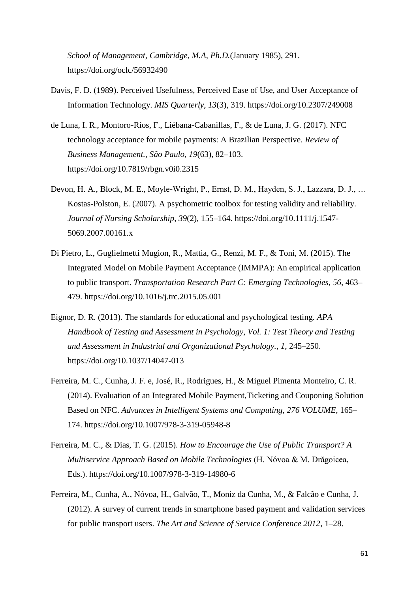*School of Management, Cambridge, M.A*, *Ph.D.*(January 1985), 291. https://doi.org/oclc/56932490

- Davis, F. D. (1989). Perceived Usefulness, Perceived Ease of Use, and User Acceptance of Information Technology. *MIS Quarterly*, *13*(3), 319. https://doi.org/10.2307/249008
- de Luna, I. R., Montoro-Ríos, F., Liébana-Cabanillas, F., & de Luna, J. G. (2017). NFC technology acceptance for mobile payments: A Brazilian Perspective. *Review of Business Management., São Paulo, 19*(63), 82–103. https://doi.org/10.7819/rbgn.v0i0.2315
- Devon, H. A., Block, M. E., Moyle-Wright, P., Ernst, D. M., Hayden, S. J., Lazzara, D. J., … Kostas-Polston, E. (2007). A psychometric toolbox for testing validity and reliability. *Journal of Nursing Scholarship*, *39*(2), 155–164. https://doi.org/10.1111/j.1547- 5069.2007.00161.x
- Di Pietro, L., Guglielmetti Mugion, R., Mattia, G., Renzi, M. F., & Toni, M. (2015). The Integrated Model on Mobile Payment Acceptance (IMMPA): An empirical application to public transport. *Transportation Research Part C: Emerging Technologies*, *56*, 463– 479. https://doi.org/10.1016/j.trc.2015.05.001
- Eignor, D. R. (2013). The standards for educational and psychological testing. *APA Handbook of Testing and Assessment in Psychology, Vol. 1: Test Theory and Testing and Assessment in Industrial and Organizational Psychology.*, *1*, 245–250. https://doi.org/10.1037/14047-013
- Ferreira, M. C., Cunha, J. F. e, José, R., Rodrigues, H., & Miguel Pimenta Monteiro, C. R. (2014). Evaluation of an Integrated Mobile Payment,Ticketing and Couponing Solution Based on NFC. *Advances in Intelligent Systems and Computing*, *276 VOLUME*, 165– 174. https://doi.org/10.1007/978-3-319-05948-8
- Ferreira, M. C., & Dias, T. G. (2015). *How to Encourage the Use of Public Transport? A Multiservice Approach Based on Mobile Technologies* (H. Nóvoa & M. Drăgoicea, Eds.). https://doi.org/10.1007/978-3-319-14980-6
- Ferreira, M., Cunha, A., Nóvoa, H., Galvão, T., Moniz da Cunha, M., & Falcão e Cunha, J. (2012). A survey of current trends in smartphone based payment and validation services for public transport users. *The Art and Science of Service Conference 2012*, 1–28.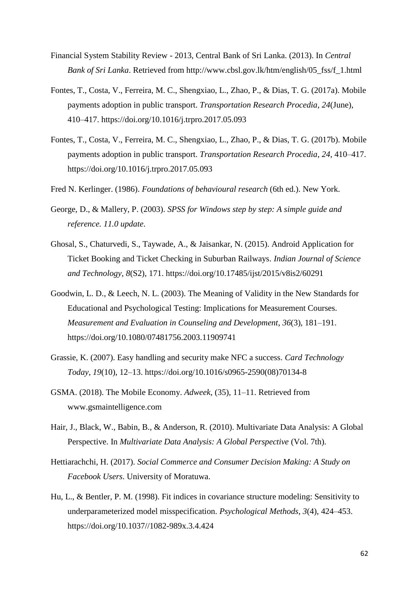- Financial System Stability Review 2013, Central Bank of Sri Lanka. (2013). In *Central Bank of Sri Lanka*. Retrieved from http://www.cbsl.gov.lk/htm/english/05\_fss/f\_1.html
- Fontes, T., Costa, V., Ferreira, M. C., Shengxiao, L., Zhao, P., & Dias, T. G. (2017a). Mobile payments adoption in public transport. *Transportation Research Procedia*, *24*(June), 410–417. https://doi.org/10.1016/j.trpro.2017.05.093
- Fontes, T., Costa, V., Ferreira, M. C., Shengxiao, L., Zhao, P., & Dias, T. G. (2017b). Mobile payments adoption in public transport. *Transportation Research Procedia*, *24*, 410–417. https://doi.org/10.1016/j.trpro.2017.05.093
- Fred N. Kerlinger. (1986). *Foundations of behavioural research* (6th ed.). New York.
- George, D., & Mallery, P. (2003). *SPSS for Windows step by step: A simple guide and reference. 11.0 update*.
- Ghosal, S., Chaturvedi, S., Taywade, A., & Jaisankar, N. (2015). Android Application for Ticket Booking and Ticket Checking in Suburban Railways. *Indian Journal of Science and Technology*, *8*(S2), 171. https://doi.org/10.17485/ijst/2015/v8is2/60291
- Goodwin, L. D., & Leech, N. L. (2003). The Meaning of Validity in the New Standards for Educational and Psychological Testing: Implications for Measurement Courses. *Measurement and Evaluation in Counseling and Development*, *36*(3), 181–191. https://doi.org/10.1080/07481756.2003.11909741
- Grassie, K. (2007). Easy handling and security make NFC a success. *Card Technology Today*, *19*(10), 12–13. https://doi.org/10.1016/s0965-2590(08)70134-8
- GSMA. (2018). The Mobile Economy. *Adweek*, (35), 11–11. Retrieved from www.gsmaintelligence.com
- Hair, J., Black, W., Babin, B., & Anderson, R. (2010). Multivariate Data Analysis: A Global Perspective. In *Multivariate Data Analysis: A Global Perspective* (Vol. 7th).
- Hettiarachchi, H. (2017). *Social Commerce and Consumer Decision Making: A Study on Facebook Users*. University of Moratuwa.
- Hu, L., & Bentler, P. M. (1998). Fit indices in covariance structure modeling: Sensitivity to underparameterized model misspecification. *Psychological Methods*, *3*(4), 424–453. https://doi.org/10.1037//1082-989x.3.4.424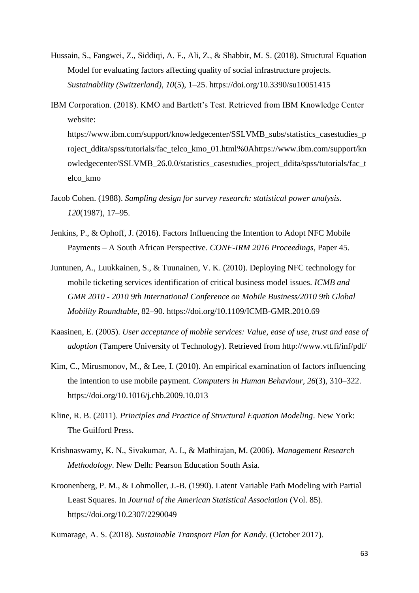- Hussain, S., Fangwei, Z., Siddiqi, A. F., Ali, Z., & Shabbir, M. S. (2018). Structural Equation Model for evaluating factors affecting quality of social infrastructure projects. *Sustainability (Switzerland)*, *10*(5), 1–25. https://doi.org/10.3390/su10051415
- IBM Corporation. (2018). KMO and Bartlett's Test. Retrieved from IBM Knowledge Center website: https://www.ibm.com/support/knowledgecenter/SSLVMB\_subs/statistics\_casestudies\_p roject\_ddita/spss/tutorials/fac\_telco\_kmo\_01.html%0Ahttps://www.ibm.com/support/kn owledgecenter/SSLVMB\_26.0.0/statistics\_casestudies\_project\_ddita/spss/tutorials/fac\_t elco\_kmo
- Jacob Cohen. (1988). *Sampling design for survey research: statistical power analysis*. *120*(1987), 17–95.
- Jenkins, P., & Ophoff, J. (2016). Factors Influencing the Intention to Adopt NFC Mobile Payments – A South African Perspective. *CONF-IRM 2016 Proceedings*, Paper 45.
- Juntunen, A., Luukkainen, S., & Tuunainen, V. K. (2010). Deploying NFC technology for mobile ticketing services identification of critical business model issues. *ICMB and GMR 2010 - 2010 9th International Conference on Mobile Business/2010 9th Global Mobility Roundtable*, 82–90. https://doi.org/10.1109/ICMB-GMR.2010.69
- Kaasinen, E. (2005). *User acceptance of mobile services: Value, ease of use, trust and ease of adoption* (Tampere University of Technology). Retrieved from http://www.vtt.fi/inf/pdf/
- Kim, C., Mirusmonov, M., & Lee, I. (2010). An empirical examination of factors influencing the intention to use mobile payment. *Computers in Human Behaviour*, *26*(3), 310–322. https://doi.org/10.1016/j.chb.2009.10.013
- Kline, R. B. (2011). *Principles and Practice of Structural Equation Modeling*. New York: The Guilford Press.
- Krishnaswamy, K. N., Sivakumar, A. I., & Mathirajan, M. (2006). *Management Research Methodology*. New Delh: Pearson Education South Asia.
- Kroonenberg, P. M., & Lohmoller, J.-B. (1990). Latent Variable Path Modeling with Partial Least Squares. In *Journal of the American Statistical Association* (Vol. 85). https://doi.org/10.2307/2290049

Kumarage, A. S. (2018). *Sustainable Transport Plan for Kandy*. (October 2017).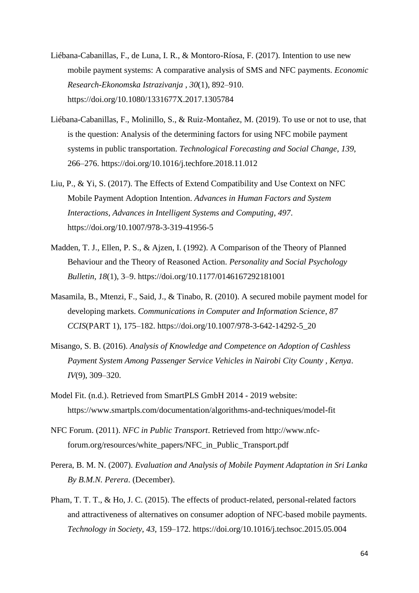- Liébana-Cabanillas, F., de Luna, I. R., & Montoro-Ríosa, F. (2017). Intention to use new mobile payment systems: A comparative analysis of SMS and NFC payments. *Economic Research-Ekonomska Istrazivanja* , *30*(1), 892–910. https://doi.org/10.1080/1331677X.2017.1305784
- Liébana-Cabanillas, F., Molinillo, S., & Ruiz-Montañez, M. (2019). To use or not to use, that is the question: Analysis of the determining factors for using NFC mobile payment systems in public transportation. *Technological Forecasting and Social Change*, *139*, 266–276. https://doi.org/10.1016/j.techfore.2018.11.012
- Liu, P., & Yi, S. (2017). The Effects of Extend Compatibility and Use Context on NFC Mobile Payment Adoption Intention. *Advances in Human Factors and System Interactions, Advances in Intelligent Systems and Computing*, *497*. https://doi.org/10.1007/978-3-319-41956-5
- Madden, T. J., Ellen, P. S., & Ajzen, I. (1992). A Comparison of the Theory of Planned Behaviour and the Theory of Reasoned Action. *Personality and Social Psychology Bulletin*, *18*(1), 3–9. https://doi.org/10.1177/0146167292181001
- Masamila, B., Mtenzi, F., Said, J., & Tinabo, R. (2010). A secured mobile payment model for developing markets. *Communications in Computer and Information Science*, *87 CCIS*(PART 1), 175–182. https://doi.org/10.1007/978-3-642-14292-5\_20
- Misango, S. B. (2016). *Analysis of Knowledge and Competence on Adoption of Cashless Payment System Among Passenger Service Vehicles in Nairobi City County , Kenya*. *IV*(9), 309–320.
- Model Fit. (n.d.). Retrieved from SmartPLS GmbH 2014 2019 website: https://www.smartpls.com/documentation/algorithms-and-techniques/model-fit
- NFC Forum. (2011). *NFC in Public Transport*. Retrieved from http://www.nfcforum.org/resources/white\_papers/NFC\_in\_Public\_Transport.pdf
- Perera, B. M. N. (2007). *Evaluation and Analysis of Mobile Payment Adaptation in Sri Lanka By B.M.N. Perera*. (December).
- Pham, T. T. T., & Ho, J. C. (2015). The effects of product-related, personal-related factors and attractiveness of alternatives on consumer adoption of NFC-based mobile payments. *Technology in Society*, *43*, 159–172. https://doi.org/10.1016/j.techsoc.2015.05.004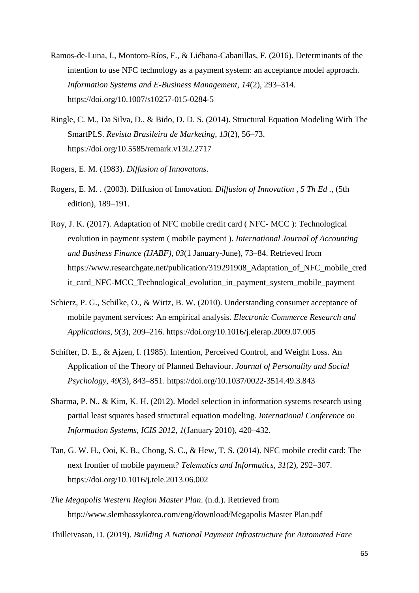- Ramos-de-Luna, I., Montoro-Ríos, F., & Liébana-Cabanillas, F. (2016). Determinants of the intention to use NFC technology as a payment system: an acceptance model approach. *Information Systems and E-Business Management*, *14*(2), 293–314. https://doi.org/10.1007/s10257-015-0284-5
- Ringle, C. M., Da Silva, D., & Bido, D. D. S. (2014). Structural Equation Modeling With The SmartPLS. *Revista Brasileira de Marketing*, *13*(2), 56–73. https://doi.org/10.5585/remark.v13i2.2717
- Rogers, E. M. (1983). *Diffusion of Innovatons*.
- Rogers, E. M. . (2003). Diffusion of Innovation. *Diffusion of Innovation , 5 Th Ed .*, (5th edition), 189–191.
- Roy, J. K. (2017). Adaptation of NFC mobile credit card ( NFC- MCC ): Technological evolution in payment system ( mobile payment ). *International Journal of Accounting and Business Finance (IJABF)*, *03*(1 January-June), 73–84. Retrieved from https://www.researchgate.net/publication/319291908 Adaptation of NFC mobile cred it\_card\_NFC-MCC\_Technological\_evolution\_in\_payment\_system\_mobile\_payment
- Schierz, P. G., Schilke, O., & Wirtz, B. W. (2010). Understanding consumer acceptance of mobile payment services: An empirical analysis. *Electronic Commerce Research and Applications*, *9*(3), 209–216. https://doi.org/10.1016/j.elerap.2009.07.005
- Schifter, D. E., & Ajzen, I. (1985). Intention, Perceived Control, and Weight Loss. An Application of the Theory of Planned Behaviour. *Journal of Personality and Social Psychology*, *49*(3), 843–851. https://doi.org/10.1037/0022-3514.49.3.843
- Sharma, P. N., & Kim, K. H. (2012). Model selection in information systems research using partial least squares based structural equation modeling. *International Conference on Information Systems, ICIS 2012*, *1*(January 2010), 420–432.
- Tan, G. W. H., Ooi, K. B., Chong, S. C., & Hew, T. S. (2014). NFC mobile credit card: The next frontier of mobile payment? *Telematics and Informatics*, *31*(2), 292–307. https://doi.org/10.1016/j.tele.2013.06.002
- *The Megapolis Western Region Master Plan*. (n.d.). Retrieved from http://www.slembassykorea.com/eng/download/Megapolis Master Plan.pdf

Thilleivasan, D. (2019). *Building A National Payment Infrastructure for Automated Fare*